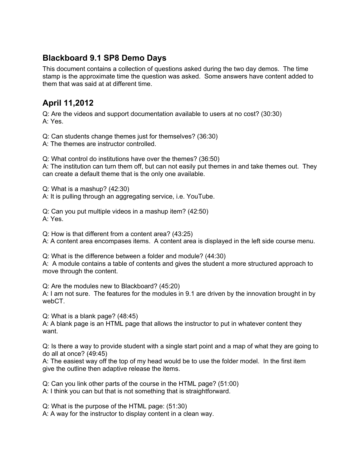## **Blackboard 9.1 SP8 Demo Days**

This document contains a collection of questions asked during the two day demos. The time stamp is the approximate time the question was asked. Some answers have content added to them that was said at at different time.

## **April 11,2012**

Q: Are the videos and support documentation available to users at no cost? (30:30) A: Yes.

Q: Can students change themes just for themselves? (36:30) A: The themes are instructor controlled.

Q: What control do institutions have over the themes? (36:50) A: The institution can turn them off, but can not easily put themes in and take themes out. They can create a default theme that is the only one available.

Q: What is a mashup? (42:30)

A: It is pulling through an aggregating service, i.e. YouTube.

Q: Can you put multiple videos in a mashup item? (42:50) A: Yes.

Q: How is that different from a content area? (43:25) A: A content area encompases items. A content area is displayed in the left side course menu.

Q: What is the difference between a folder and module? (44:30)

A: A module contains a table of contents and gives the student a more structured approach to move through the content.

Q: Are the modules new to Blackboard? (45:20) A: I am not sure. The features for the modules in 9.1 are driven by the innovation brought in by webCT.

Q: What is a blank page? (48:45)

A: A blank page is an HTML page that allows the instructor to put in whatever content they want.

Q: Is there a way to provide student with a single start point and a map of what they are going to do all at once? (49:45)

A: The easiest way off the top of my head would be to use the folder model. In the first item give the outline then adaptive release the items.

Q: Can you link other parts of the course in the HTML page? (51:00)

A: I think you can but that is not something that is straightforward.

Q: What is the purpose of the HTML page: (51:30)

A: A way for the instructor to display content in a clean way.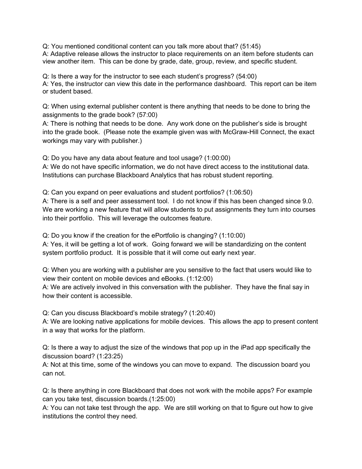Q: You mentioned conditional content can you talk more about that? (51:45) A: Adaptive release allows the instructor to place requirements on an item before students can view another item. This can be done by grade, date, group, review, and specific student.

Q: Is there a way for the instructor to see each student's progress? (54:00) A: Yes, the instructor can view this date in the performance dashboard. This report can be item or student based.

Q: When using external publisher content is there anything that needs to be done to bring the assignments to the grade book? (57:00)

A: There is nothing that needs to be done. Any work done on the publisher's side is brought into the grade book. (Please note the example given was with McGraw-Hill Connect, the exact workings may vary with publisher.)

Q: Do you have any data about feature and tool usage? (1:00:00) A: We do not have specific information, we do not have direct access to the institutional data. Institutions can purchase Blackboard Analytics that has robust student reporting.

Q: Can you expand on peer evaluations and student portfolios? (1:06:50)

A: There is a self and peer assessment tool. I do not know if this has been changed since 9.0. We are working a new feature that will allow students to put assignments they turn into courses into their portfolio. This will leverage the outcomes feature.

Q: Do you know if the creation for the ePortfolio is changing? (1:10:00)

A: Yes, it will be getting a lot of work. Going forward we will be standardizing on the content system portfolio product. It is possible that it will come out early next year.

Q: When you are working with a publisher are you sensitive to the fact that users would like to view their content on mobile devices and eBooks. (1:12:00)

A: We are actively involved in this conversation with the publisher. They have the final say in how their content is accessible.

Q: Can you discuss Blackboard's mobile strategy? (1:20:40)

A: We are looking native applications for mobile devices. This allows the app to present content in a way that works for the platform.

Q: Is there a way to adjust the size of the windows that pop up in the iPad app specifically the discussion board? (1:23:25)

A: Not at this time, some of the windows you can move to expand. The discussion board you can not.

Q: Is there anything in core Blackboard that does not work with the mobile apps? For example can you take test, discussion boards.(1:25:00)

A: You can not take test through the app. We are still working on that to figure out how to give institutions the control they need.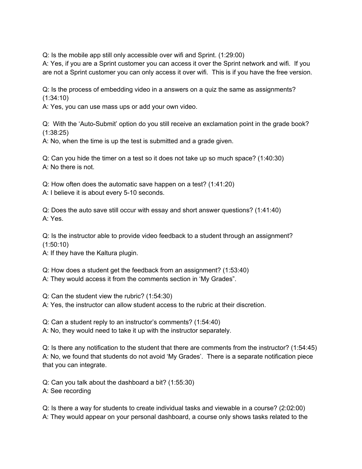Q: Is the mobile app still only accessible over wifi and Sprint. (1:29:00)

A: Yes, if you are a Sprint customer you can access it over the Sprint network and wifi. If you are not a Sprint customer you can only access it over wifi. This is if you have the free version.

Q: Is the process of embedding video in a answers on a quiz the same as assignments? (1:34:10)

A: Yes, you can use mass ups or add your own video.

Q: With the 'Auto-Submit' option do you still receive an exclamation point in the grade book? (1:38:25)

A: No, when the time is up the test is submitted and a grade given.

Q: Can you hide the timer on a test so it does not take up so much space? (1:40:30) A: No there is not.

Q: How often does the automatic save happen on a test? (1:41:20) A: I believe it is about every 5-10 seconds.

Q: Does the auto save still occur with essay and short answer questions? (1:41:40) A: Yes.

Q: Is the instructor able to provide video feedback to a student through an assignment? (1:50:10)

A: If they have the Kaltura plugin.

Q: How does a student get the feedback from an assignment? (1:53:40) A: They would access it from the comments section in 'My Grades".

Q: Can the student view the rubric? (1:54:30)

A: Yes, the instructor can allow student access to the rubric at their discretion.

Q: Can a student reply to an instructor's comments? (1:54:40)

A: No, they would need to take it up with the instructor separately.

Q: Is there any notification to the student that there are comments from the instructor? (1:54:45) A: No, we found that students do not avoid 'My Grades'. There is a separate notification piece that you can integrate.

Q: Can you talk about the dashboard a bit? (1:55:30) A: See recording

Q: Is there a way for students to create individual tasks and viewable in a course? (2:02:00) A: They would appear on your personal dashboard, a course only shows tasks related to the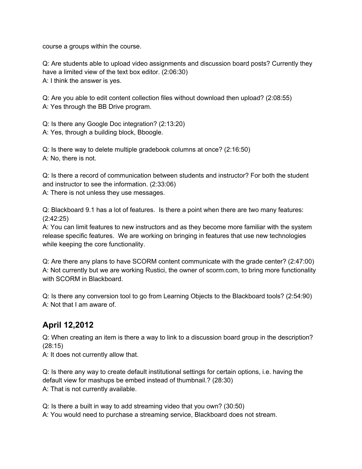course a groups within the course.

Q: Are students able to upload video assignments and discussion board posts? Currently they have a limited view of the text box editor. (2:06:30) A: I think the answer is yes.

Q: Are you able to edit content collection files without download then upload? (2:08:55) A: Yes through the BB Drive program.

Q: Is there any Google Doc integration? (2:13:20) A: Yes, through a building block, Bboogle.

Q: Is there way to delete multiple gradebook columns at once? (2:16:50) A: No, there is not.

Q: Is there a record of communication between students and instructor? For both the student and instructor to see the information. (2:33:06) A: There is not unless they use messages.

Q: Blackboard 9.1 has a lot of features. Is there a point when there are two many features: (2:42:25)

A: You can limit features to new instructors and as they become more familiar with the system release specific features. We are working on bringing in features that use new technologies while keeping the core functionality.

Q: Are there any plans to have SCORM content communicate with the grade center? (2:47:00) A: Not currently but we are working Rustici, the owner of scorm.com, to bring more functionality with SCORM in Blackboard.

Q: Is there any conversion tool to go from Learning Objects to the Blackboard tools? (2:54:90) A: Not that I am aware of.

## **April 12,2012**

Q: When creating an item is there a way to link to a discussion board group in the description? (28:15)

A: It does not currently allow that.

Q: Is there any way to create default institutional settings for certain options, i.e. having the default view for mashups be embed instead of thumbnail.? (28:30) A: That is not currently available.

Q: Is there a built in way to add streaming video that you own? (30:50) A: You would need to purchase a streaming service, Blackboard does not stream.